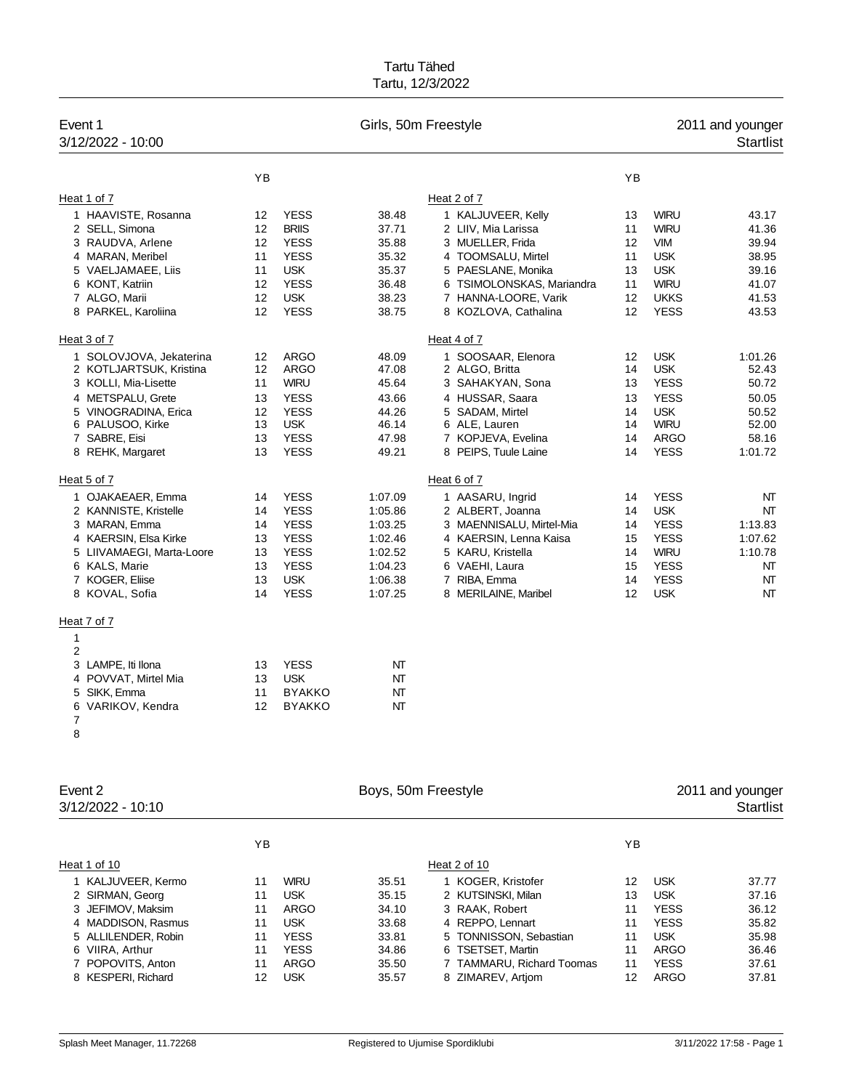| Event 1<br>3/12/2022 - 10:00               |          |               | 2011 and younger<br><b>Startlist</b> |                           |    |             |                  |
|--------------------------------------------|----------|---------------|--------------------------------------|---------------------------|----|-------------|------------------|
|                                            | YB       |               |                                      |                           | YB |             |                  |
| Heat 1 of 7                                |          |               |                                      | Heat 2 of 7               |    |             |                  |
| 1 HAAVISTE, Rosanna                        | 12       | <b>YESS</b>   | 38.48                                | 1 KALJUVEER, Kelly        | 13 | <b>WIRU</b> | 43.17            |
| 2 SELL, Simona                             | 12       | <b>BRIIS</b>  | 37.71                                | 2 LIIV, Mia Larissa       | 11 | <b>WIRU</b> | 41.36            |
| 3 RAUDVA, Arlene                           | 12       | <b>YESS</b>   | 35.88                                | 3 MUELLER, Frida          | 12 | <b>VIM</b>  | 39.94            |
| 4 MARAN, Meribel                           | 11       | <b>YESS</b>   | 35.32                                | 4 TOOMSALU, Mirtel        | 11 | <b>USK</b>  | 38.95            |
| 5 VAELJAMAEE, Liis                         | 11       | <b>USK</b>    | 35.37                                | 5 PAESLANE, Monika        | 13 | <b>USK</b>  | 39.16            |
| 6 KONT, Katriin                            | 12       | <b>YESS</b>   | 36.48                                | 6 TSIMOLONSKAS, Mariandra | 11 | <b>WIRU</b> | 41.07            |
| 7 ALGO, Marii                              | 12       | <b>USK</b>    | 38.23                                | 7 HANNA-LOORE, Varik      | 12 | <b>UKKS</b> | 41.53            |
| 8 PARKEL, Karoliina                        | 12       | <b>YESS</b>   | 38.75                                | 8 KOZLOVA, Cathalina      | 12 | <b>YESS</b> | 43.53            |
| Heat 3 of 7                                |          |               |                                      | Heat 4 of 7               |    |             |                  |
| 1 SOLOVJOVA, Jekaterina                    | 12       | <b>ARGO</b>   | 48.09                                | 1 SOOSAAR, Elenora        | 12 | <b>USK</b>  | 1:01.26          |
| 2 KOTLJARTSUK, Kristina                    | 12       | ARGO          | 47.08                                | 2 ALGO, Britta            | 14 | <b>USK</b>  | 52.43            |
| 3 KOLLI, Mia-Lisette                       | 11       | <b>WIRU</b>   | 45.64                                | 3 SAHAKYAN, Sona          | 13 | <b>YESS</b> | 50.72            |
| 4 METSPALU, Grete                          | 13       | <b>YESS</b>   | 43.66                                | 4 HUSSAR, Saara           | 13 | <b>YESS</b> | 50.05            |
| 5 VINOGRADINA, Erica                       | 12       | <b>YESS</b>   | 44.26                                | 5 SADAM, Mirtel           | 14 | <b>USK</b>  | 50.52            |
| 6 PALUSOO, Kirke                           | 13       | <b>USK</b>    | 46.14                                | 6 ALE, Lauren             | 14 | <b>WIRU</b> | 52.00            |
| 7 SABRE, Eisi                              | 13       | <b>YESS</b>   | 47.98                                | 7 KOPJEVA, Evelina        | 14 | <b>ARGO</b> | 58.16            |
| 8 REHK, Margaret                           | 13       | <b>YESS</b>   | 49.21                                | 8 PEIPS, Tuule Laine      | 14 | <b>YESS</b> | 1:01.72          |
| Heat 5 of 7                                |          |               |                                      | Heat 6 of 7               |    |             |                  |
| 1 OJAKAEAER, Emma                          | 14       | <b>YESS</b>   | 1:07.09                              | 1 AASARU, Ingrid          | 14 | <b>YESS</b> | NT               |
| 2 KANNISTE, Kristelle                      | 14       | <b>YESS</b>   | 1:05.86                              | 2 ALBERT, Joanna          | 14 | <b>USK</b>  | NT               |
| 3 MARAN, Emma                              | 14       | <b>YESS</b>   | 1:03.25                              | 3 MAENNISALU, Mirtel-Mia  | 14 | <b>YESS</b> | 1:13.83          |
| 4 KAERSIN, Elsa Kirke                      | 13       | <b>YESS</b>   | 1:02.46                              | 4 KAERSIN, Lenna Kaisa    | 15 | <b>YESS</b> | 1:07.62          |
| 5 LIIVAMAEGI, Marta-Loore                  | 13       | <b>YESS</b>   | 1:02.52                              | 5 KARU, Kristella         | 14 | <b>WIRU</b> | 1:10.78          |
| 6 KALS, Marie                              | 13       | <b>YESS</b>   | 1:04.23                              | 6 VAEHI, Laura            | 15 | <b>YESS</b> | NT               |
| 7 KOGER, Eliise                            | 13       | <b>USK</b>    | 1:06.38                              | 7 RIBA, Emma              | 14 | <b>YESS</b> | NT               |
| 8 KOVAL, Sofia                             | 14       | <b>YESS</b>   | 1:07.25                              | 8 MERILAINE, Maribel      | 12 | <b>USK</b>  | NT               |
| Heat 7 of 7                                |          |               |                                      |                           |    |             |                  |
| 1                                          |          |               |                                      |                           |    |             |                  |
| $\overline{2}$                             |          | <b>YESS</b>   |                                      |                           |    |             |                  |
| 3 LAMPE, Iti Ilona<br>4 POVVAT, Mirtel Mia | 13<br>13 | <b>USK</b>    | NΤ<br>NΤ                             |                           |    |             |                  |
| 5 SIKK, Emma                               | 11       | <b>BYAKKO</b> | NΤ                                   |                           |    |             |                  |
| 6 VARIKOV, Kendra                          | 12       | <b>BYAKKO</b> | NΤ                                   |                           |    |             |                  |
| 7                                          |          |               |                                      |                           |    |             |                  |
| 8                                          |          |               |                                      |                           |    |             |                  |
| Event 2                                    |          |               | Boys, 50m Freestyle                  |                           |    |             | 2011 and younger |
| 3/12/2022 - 10:10                          |          |               |                                      |                           |    |             | <b>Startlist</b> |
|                                            | YB       |               |                                      |                           | YB |             |                  |
|                                            |          |               |                                      |                           |    |             |                  |
| Heat 1 of 10                               |          |               |                                      | Heat 2 of 10              |    |             |                  |
| 1 KALJUVEER, Kermo                         | 11       | <b>WIRU</b>   | 35.51                                | 1 KOGER, Kristofer        | 12 | <b>USK</b>  | 37.77            |
| 2 SIRMAN, Georg                            | 11       | <b>USK</b>    | 35.15                                | 2 KUTSINSKI, Milan        | 13 | <b>USK</b>  | 37.16            |
| 3 JEFIMOV, Maksim                          | 11       | <b>ARGO</b>   | 34.10                                | 3 RAAK, Robert            | 11 | <b>YESS</b> | 36.12            |
| 4 MADDISON, Rasmus                         | 11       | <b>USK</b>    | 33.68                                | 4 REPPO, Lennart          | 11 | <b>YESS</b> | 35.82            |
| 5 ALLILENDER, Robin                        | 11       | <b>YESS</b>   | 33.81                                | 5 TONNISSON, Sebastian    | 11 | <b>USK</b>  | 35.98            |
| 6 VIIRA, Arthur                            | 11       | <b>YESS</b>   | 34.86                                | 6 TSETSET, Martin         | 11 | <b>ARGO</b> | 36.46            |
| 7 POPOVITS, Anton                          | 11       | <b>ARGO</b>   | 35.50                                | 7 TAMMARU, Richard Toomas | 11 | <b>YESS</b> | 37.61            |
| 8 KESPERI, Richard                         | 12       | <b>USK</b>    | 35.57                                | 8 ZIMAREV, Artjom         | 12 | <b>ARGO</b> | 37.81            |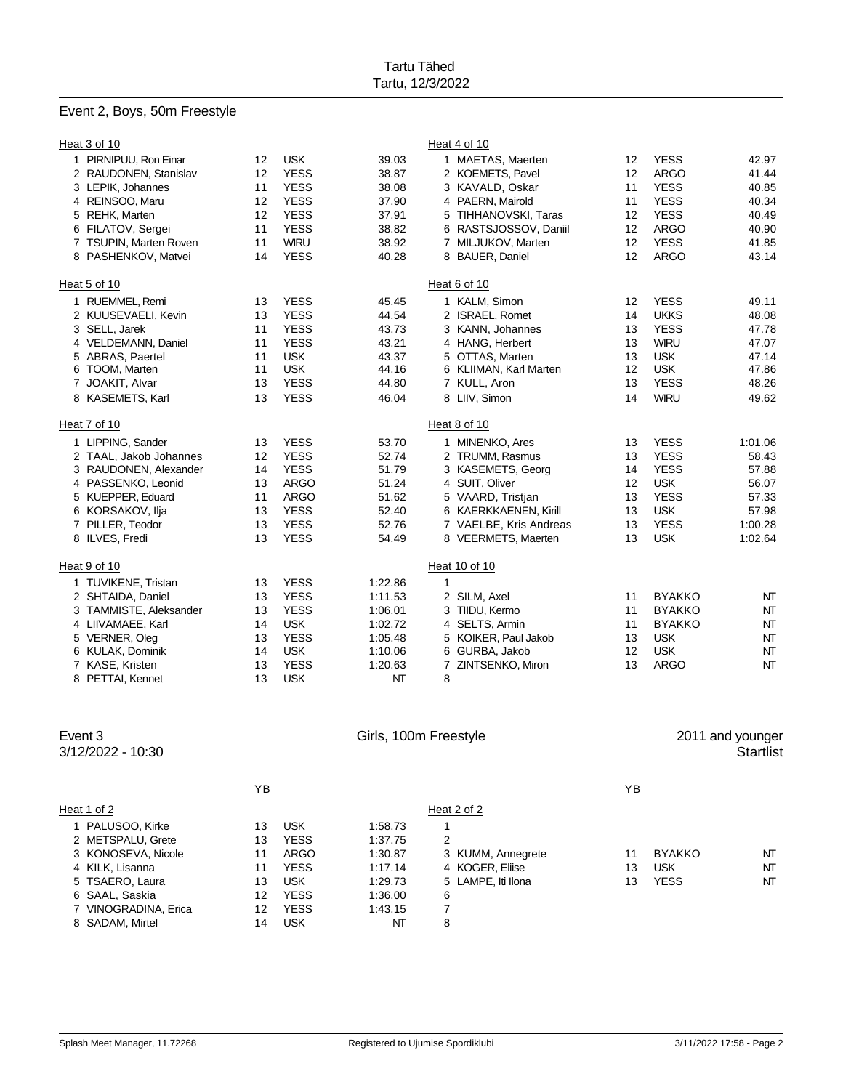# Event 2, Boys, 50m Freestyle

|    | Heat 3 of 10           |    |             |         |   | Heat 4 of 10           |    |               |         |
|----|------------------------|----|-------------|---------|---|------------------------|----|---------------|---------|
|    | 1 PIRNIPUU, Ron Einar  | 12 | <b>USK</b>  | 39.03   |   | 1 MAETAS, Maerten      | 12 | <b>YESS</b>   | 42.97   |
|    | 2 RAUDONEN, Stanislav  | 12 | <b>YESS</b> | 38.87   |   | 2 KOEMETS, Pavel       | 12 | <b>ARGO</b>   | 41.44   |
|    | 3 LEPIK, Johannes      | 11 | <b>YESS</b> | 38.08   |   | 3 KAVALD, Oskar        | 11 | <b>YESS</b>   | 40.85   |
|    | 4 REINSOO, Maru        | 12 | <b>YESS</b> | 37.90   |   | 4 PAERN, Mairold       | 11 | <b>YESS</b>   | 40.34   |
|    | 5 REHK, Marten         | 12 | <b>YESS</b> | 37.91   |   | 5 TIHHANOVSKI, Taras   | 12 | <b>YESS</b>   | 40.49   |
|    | 6 FILATOV, Sergei      | 11 | <b>YESS</b> | 38.82   |   | 6 RASTSJOSSOV, Daniil  | 12 | <b>ARGO</b>   | 40.90   |
|    | 7 TSUPIN, Marten Roven | 11 | <b>WIRU</b> | 38.92   |   | 7 MILJUKOV, Marten     | 12 | <b>YESS</b>   | 41.85   |
|    | 8 PASHENKOV, Matvei    | 14 | <b>YESS</b> | 40.28   |   | 8 BAUER, Daniel        | 12 | <b>ARGO</b>   | 43.14   |
|    | Heat 5 of 10           |    |             |         |   | Heat 6 of 10           |    |               |         |
| 1. | RUEMMEL, Remi          | 13 | <b>YESS</b> | 45.45   |   | 1 KALM, Simon          | 12 | <b>YESS</b>   | 49.11   |
|    | 2 KUUSEVAELI, Kevin    | 13 | <b>YESS</b> | 44.54   |   | 2 ISRAEL, Romet        | 14 | <b>UKKS</b>   | 48.08   |
|    | 3 SELL, Jarek          | 11 | <b>YESS</b> | 43.73   |   | 3 KANN, Johannes       | 13 | <b>YESS</b>   | 47.78   |
|    | 4 VELDEMANN, Daniel    | 11 | <b>YESS</b> | 43.21   |   | 4 HANG, Herbert        | 13 | <b>WIRU</b>   | 47.07   |
|    | 5 ABRAS, Paertel       | 11 | <b>USK</b>  | 43.37   |   | 5 OTTAS, Marten        | 13 | <b>USK</b>    | 47.14   |
|    | 6 TOOM, Marten         | 11 | <b>USK</b>  | 44.16   |   | 6 KLIIMAN, Karl Marten | 12 | <b>USK</b>    | 47.86   |
|    | 7 JOAKIT, Alvar        | 13 | <b>YESS</b> | 44.80   |   | 7 KULL, Aron           | 13 | <b>YESS</b>   | 48.26   |
|    | 8 KASEMETS, Karl       | 13 | <b>YESS</b> | 46.04   |   | 8 LIIV, Simon          | 14 | <b>WIRU</b>   | 49.62   |
|    | Heat 7 of 10           |    |             |         |   | Heat 8 of 10           |    |               |         |
|    | 1 LIPPING, Sander      | 13 | <b>YESS</b> | 53.70   |   | 1 MINENKO, Ares        | 13 | <b>YESS</b>   | 1:01.06 |
|    | 2 TAAL, Jakob Johannes | 12 | <b>YESS</b> | 52.74   |   | 2 TRUMM, Rasmus        | 13 | <b>YESS</b>   | 58.43   |
|    | 3 RAUDONEN, Alexander  | 14 | <b>YESS</b> | 51.79   |   | 3 KASEMETS, Georg      | 14 | <b>YESS</b>   | 57.88   |
|    | 4 PASSENKO, Leonid     | 13 | <b>ARGO</b> | 51.24   |   | 4 SUIT, Oliver         | 12 | <b>USK</b>    | 56.07   |
|    | 5 KUEPPER, Eduard      | 11 | <b>ARGO</b> | 51.62   |   | 5 VAARD, Tristjan      | 13 | <b>YESS</b>   | 57.33   |
|    | 6 KORSAKOV, Ilja       | 13 | <b>YESS</b> | 52.40   |   | 6 KAERKKAENEN, Kirill  | 13 | <b>USK</b>    | 57.98   |
|    | 7 PILLER, Teodor       | 13 | <b>YESS</b> | 52.76   |   | 7 VAELBE, Kris Andreas | 13 | <b>YESS</b>   | 1:00.28 |
|    | 8 ILVES, Fredi         | 13 | <b>YESS</b> | 54.49   |   | 8 VEERMETS, Maerten    | 13 | <b>USK</b>    | 1:02.64 |
|    | Heat 9 of 10           |    |             |         |   | Heat 10 of 10          |    |               |         |
|    | 1 TUVIKENE, Tristan    | 13 | <b>YESS</b> | 1:22.86 | 1 |                        |    |               |         |
|    | 2 SHTAIDA, Daniel      | 13 | <b>YESS</b> | 1:11.53 |   | 2 SILM, Axel           | 11 | <b>BYAKKO</b> | NT      |
|    | 3 TAMMISTE, Aleksander | 13 | <b>YESS</b> | 1:06.01 |   | 3 TIIDU, Kermo         | 11 | <b>BYAKKO</b> | NT      |
|    | 4 LIIVAMAEE, Karl      | 14 | <b>USK</b>  | 1:02.72 |   | 4 SELTS, Armin         | 11 | <b>BYAKKO</b> | NT      |
|    | 5 VERNER, Oleg         | 13 | <b>YESS</b> | 1:05.48 |   | 5 KOIKER, Paul Jakob   | 13 | <b>USK</b>    | NT      |
|    | 6 KULAK, Dominik       | 14 | <b>USK</b>  | 1:10.06 |   | 6 GURBA, Jakob         | 12 | <b>USK</b>    | NT      |
|    | 7 KASE, Kristen        | 13 | <b>YESS</b> | 1:20.63 | 7 | ZINTSENKO, Miron       | 13 | <b>ARGO</b>   | NT      |
|    | 8 PETTAI, Kennet       | 13 | <b>USK</b>  | NT      | 8 |                        |    |               |         |

| Event 3<br>3/12/2022 - 10:30 |    |             | Girls, 100m Freestyle |                    | 2011 and younger<br><b>Startlist</b> |               |    |
|------------------------------|----|-------------|-----------------------|--------------------|--------------------------------------|---------------|----|
|                              | YΒ |             |                       |                    | ΥB                                   |               |    |
| Heat 1 of 2                  |    |             |                       | Heat 2 of 2        |                                      |               |    |
| 1 PALUSOO, Kirke             | 13 | <b>USK</b>  | 1:58.73               |                    |                                      |               |    |
| 2 METSPALU, Grete            | 13 | <b>YESS</b> | 1:37.75               | 2                  |                                      |               |    |
| 3 KONOSEVA, Nicole           | 11 | ARGO        | 1:30.87               | 3 KUMM, Annegrete  | 11                                   | <b>BYAKKO</b> | NT |
| 4 KILK, Lisanna              | 11 | <b>YESS</b> | 1.17.14               | 4 KOGER, Eliise    | 13                                   | <b>USK</b>    | NΤ |
| 5 TSAERO, Laura              | 13 | <b>USK</b>  | 1.29.73               | 5 LAMPE. Iti Ilona | 13                                   | <b>YESS</b>   | NT |
| 6 SAAL, Saskia               | 12 | <b>YESS</b> | 1:36.00               | 6                  |                                      |               |    |
| 7 VINOGRADINA, Erica         | 12 | <b>YESS</b> | 1:43.15               | 7                  |                                      |               |    |
| 8 SADAM, Mirtel              | 14 | <b>USK</b>  | NΤ                    | 8                  |                                      |               |    |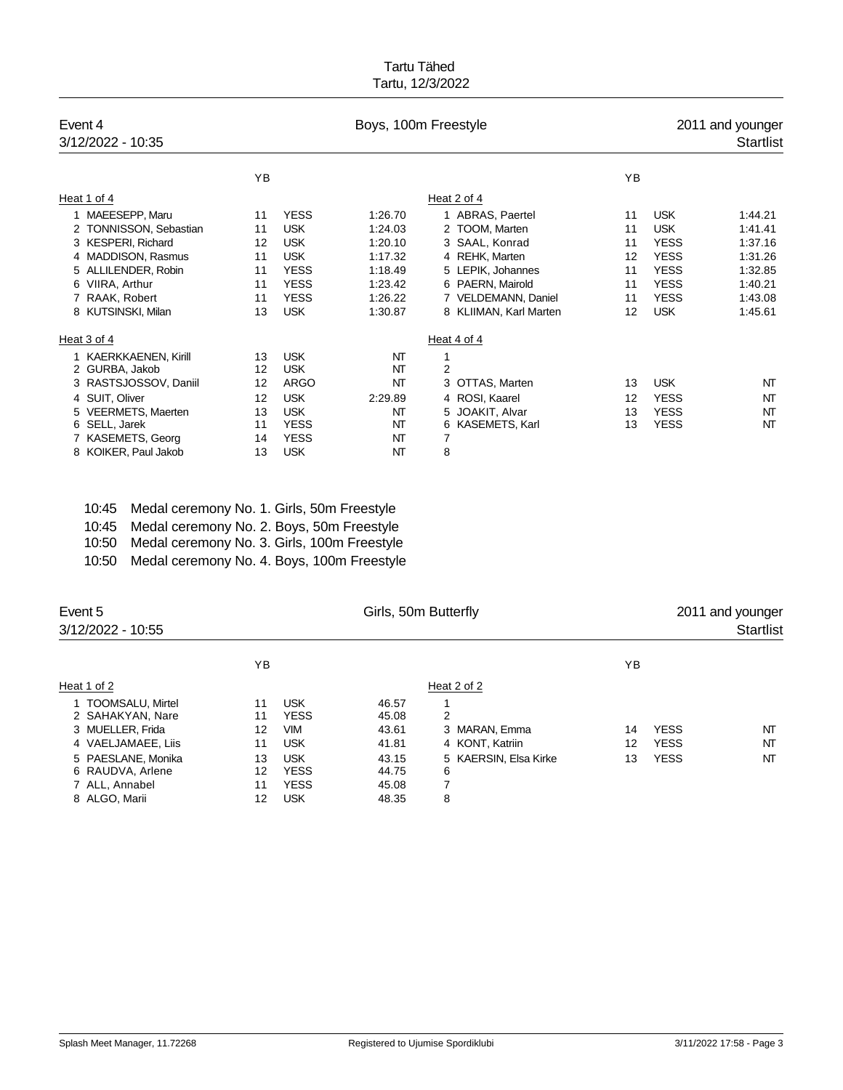| Event 4<br>3/12/2022 - 10:35 |    |             | Boys, 100m Freestyle |                        | 2011 and younger<br><b>Startlist</b> |             |         |
|------------------------------|----|-------------|----------------------|------------------------|--------------------------------------|-------------|---------|
|                              | YB |             |                      |                        | YB                                   |             |         |
| Heat 1 of 4                  |    |             |                      | Heat 2 of 4            |                                      |             |         |
| 1 MAEESEPP, Maru             | 11 | <b>YESS</b> | 1:26.70              | 1 ABRAS, Paertel       | 11                                   | <b>USK</b>  | 1:44.21 |
| 2 TONNISSON, Sebastian       | 11 | <b>USK</b>  | 1:24.03              | 2 TOOM, Marten         | 11                                   | <b>USK</b>  | 1:41.41 |
| 3 KESPERI, Richard           | 12 | <b>USK</b>  | 1:20.10              | 3 SAAL, Konrad         | 11                                   | <b>YESS</b> | 1:37.16 |
| 4 MADDISON, Rasmus           | 11 | <b>USK</b>  | 1:17.32              | 4 REHK, Marten         | 12                                   | <b>YESS</b> | 1:31.26 |
| 5 ALLILENDER, Robin          | 11 | <b>YESS</b> | 1:18.49              | 5 LEPIK, Johannes      | 11                                   | <b>YESS</b> | 1:32.85 |
| VIIRA, Arthur<br>6           | 11 | <b>YESS</b> | 1:23.42              | 6 PAERN, Mairold       | 11                                   | <b>YESS</b> | 1:40.21 |
| 7 RAAK, Robert               | 11 | <b>YESS</b> | 1:26.22              | 7 VELDEMANN, Daniel    | 11                                   | <b>YESS</b> | 1:43.08 |
| 8 KUTSINSKI, Milan           | 13 | <b>USK</b>  | 1:30.87              | 8 KLIIMAN, Karl Marten | 12                                   | <b>USK</b>  | 1:45.61 |
| Heat 3 of 4                  |    |             |                      | Heat 4 of 4            |                                      |             |         |
| 1 KAERKKAENEN, Kirill        | 13 | <b>USK</b>  | NT                   | 1                      |                                      |             |         |
| 2 GURBA, Jakob               | 12 | <b>USK</b>  | NT                   | $\overline{2}$         |                                      |             |         |
| 3 RASTSJOSSOV, Daniil        | 12 | <b>ARGO</b> | NT                   | 3 OTTAS, Marten        | 13                                   | <b>USK</b>  | NT      |
| 4 SUIT, Oliver               | 12 | <b>USK</b>  | 2:29.89              | 4 ROSI, Kaarel         | 12                                   | <b>YESS</b> | NT      |
| 5 VEERMETS, Maerten          | 13 | <b>USK</b>  | NT                   | 5 JOAKIT, Alvar        | 13                                   | <b>YESS</b> | NT      |
| 6 SELL, Jarek                | 11 | <b>YESS</b> | NT                   | 6 KASEMETS, Karl       | 13                                   | <b>YESS</b> | NT      |
| 7 KASEMETS, Georg            | 14 | <b>YESS</b> | NT                   | 7                      |                                      |             |         |
| 8 KOIKER, Paul Jakob         | 13 | <b>USK</b>  | NT                   | 8                      |                                      |             |         |

10:45 Medal ceremony No. 1. Girls, 50m Freestyle 10:45 Medal ceremony No. 2. Boys, 50m Freestyle

10:50 Medal ceremony No. 3. Girls, 100m Freestyle

10:50 Medal ceremony No. 4. Boys, 100m Freestyle

| Event 5<br>3/12/2022 - 10:55                                              |                      |                                                        | Girls, 50m Butterfly             | 2011 and younger<br><b>Startlist</b> |          |                            |          |
|---------------------------------------------------------------------------|----------------------|--------------------------------------------------------|----------------------------------|--------------------------------------|----------|----------------------------|----------|
|                                                                           | ΥB                   |                                                        |                                  |                                      | ΥB       |                            |          |
| Heat 1 of 2                                                               |                      |                                                        |                                  | Heat 2 of 2                          |          |                            |          |
| 1 TOOMSALU, Mirtel<br>2 SAHAKYAN, Nare                                    | 11<br>11             | <b>USK</b><br><b>YESS</b>                              | 46.57<br>45.08                   | 2                                    |          |                            |          |
| 3 MUELLER, Frida<br>4 VAELJAMAEE, Liis                                    | 12<br>11             | VIM<br><b>USK</b>                                      | 43.61<br>41.81                   | 3 MARAN, Emma<br>4 KONT, Katriin     | 14<br>12 | <b>YESS</b><br><b>YESS</b> | NT<br>NT |
| 5 PAESLANE, Monika<br>6 RAUDVA, Arlene<br>7 ALL, Annabel<br>8 ALGO, Marii | 13<br>12<br>11<br>12 | <b>USK</b><br><b>YESS</b><br><b>YESS</b><br><b>USK</b> | 43.15<br>44.75<br>45.08<br>48.35 | 5 KAERSIN, Elsa Kirke<br>6<br>7<br>8 | 13       | <b>YESS</b>                | NT       |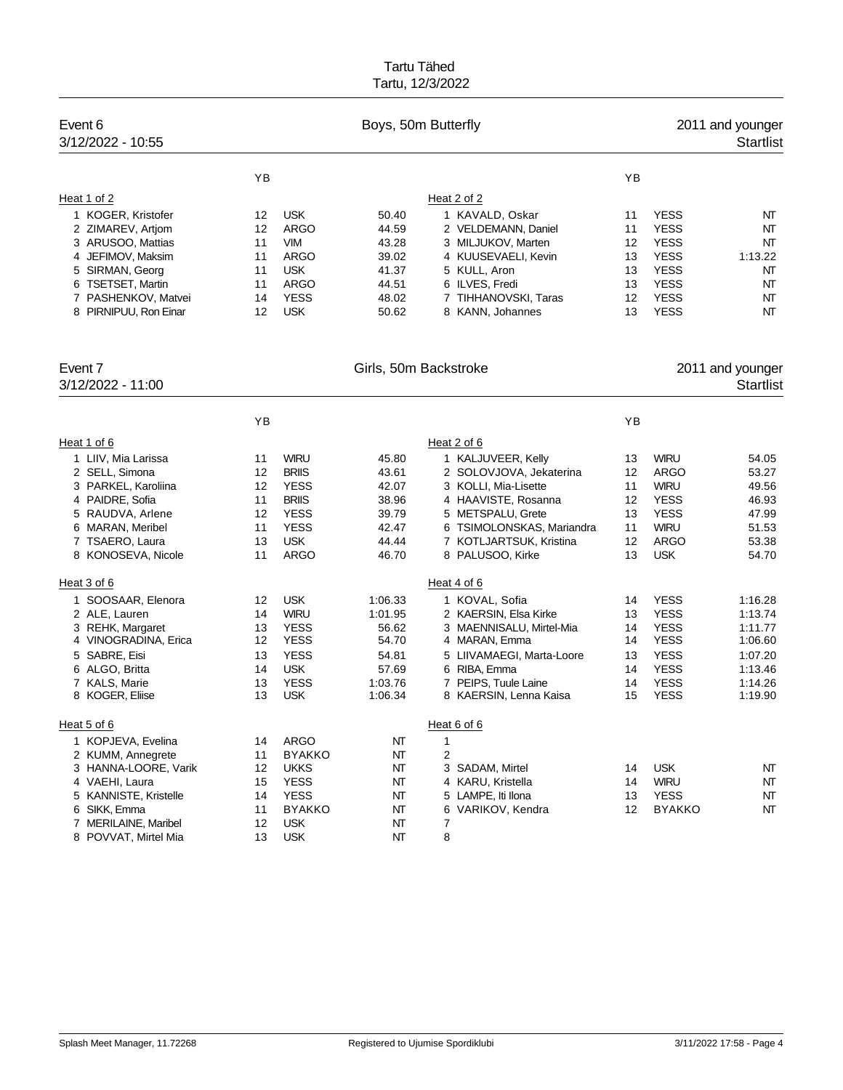| YB<br>YB<br>Heat 1 of 2<br>Heat 2 of 2<br><b>USK</b><br>1 KAVALD, Oskar<br><b>YESS</b><br>NΤ<br>1 KOGER, Kristofer<br>12<br>50.40<br>11<br>12<br><b>ARGO</b><br><b>YESS</b><br>NΤ<br>2 ZIMAREV, Artjom<br>44.59<br>2 VELDEMANN, Daniel<br>11<br><b>YESS</b><br>NΤ<br>3 ARUSOO, Mattias<br>11<br><b>VIM</b><br>43.28<br>3 MILJUKOV, Marten<br>12<br><b>ARGO</b><br>4 KUUSEVAELI, Kevin<br>13<br><b>YESS</b><br>1:13.22<br>4 JEFIMOV, Maksim<br>11<br>39.02<br><b>USK</b><br><b>YESS</b><br>NΤ<br>5 SIRMAN, Georg<br>11<br>41.37<br>5 KULL, Aron<br>13<br><b>YESS</b><br>NΤ<br>6 TSETSET, Martin<br>11<br>ARGO<br>44.51<br>6 ILVES, Fredi<br>13<br><b>YESS</b><br><b>YESS</b><br>14<br>7 TIHHANOVSKI, Taras<br>$12 \overline{ }$<br>NT<br>7 PASHENKOV, Matvei<br>48.02<br><b>YESS</b><br>12<br><b>USK</b><br>8 KANN, Johannes<br>13<br>NT<br>8 PIRNIPUU, Ron Einar<br>50.62<br>Event 7<br>Girls, 50m Backstroke<br>2011 and younger<br>3/12/2022 - 11:00<br><b>Startlist</b><br>YB<br>YB<br>Heat 1 of 6<br>Heat 2 of 6<br><b>WIRU</b><br>45.80<br>1 KALJUVEER, Kelly<br><b>WIRU</b><br>1 LIIV, Mia Larissa<br>11<br>13<br>54.05<br>2 SELL, Simona<br>12<br><b>BRIIS</b><br><b>ARGO</b><br>43.61<br>2 SOLOVJOVA, Jekaterina<br>12<br>53.27<br><b>YESS</b><br><b>WIRU</b><br>3 PARKEL, Karoliina<br>12<br>42.07<br>3 KOLLI, Mia-Lisette<br>11<br>49.56<br>4 PAIDRE, Sofia<br><b>BRIIS</b><br>38.96<br>4 HAAVISTE, Rosanna<br>12<br><b>YESS</b><br>11<br>46.93<br><b>YESS</b><br>39.79<br>5 METSPALU, Grete<br><b>YESS</b><br>5 RAUDVA, Arlene<br>12<br>13<br>47.99<br>6 MARAN, Meribel<br><b>YESS</b><br><b>WIRU</b><br>11<br>42.47<br>6 TSIMOLONSKAS, Mariandra<br>11<br>51.53<br><b>USK</b><br>7 TSAERO, Laura<br>44.44<br>7 KOTLJARTSUK, Kristina<br>12<br><b>ARGO</b><br>53.38<br>13<br>8 KONOSEVA, Nicole<br><b>ARGO</b><br>46.70<br>8 PALUSOO, Kirke<br><b>USK</b><br>54.70<br>11<br>13<br>Heat 3 of 6<br>Heat 4 of 6<br>1 SOOSAAR, Elenora<br><b>USK</b><br>1:06.33<br>1 KOVAL, Sofia<br><b>YESS</b><br>1:16.28<br>12<br>14<br><b>WIRU</b><br><b>YESS</b><br>2 ALE, Lauren<br>14<br>1:01.95<br>2 KAERSIN, Elsa Kirke<br>13<br>1:13.74<br><b>YESS</b><br><b>YESS</b><br>56.62<br>1:11.77<br>3 REHK, Margaret<br>13<br>3 MAENNISALU, Mirtel-Mia<br>14<br><b>YESS</b><br><b>YESS</b><br>4 VINOGRADINA, Erica<br>54.70<br>4 MARAN, Emma<br>1:06.60<br>12<br>14<br><b>YESS</b><br><b>YESS</b><br>5 SABRE, Eisi<br>13<br>54.81<br>5 LIIVAMAEGI, Marta-Loore<br>1:07.20<br>13<br><b>USK</b><br>6 ALGO, Britta<br>57.69<br>6 RIBA, Emma<br><b>YESS</b><br>1:13.46<br>14<br>14<br>7 KALS, Marie<br><b>YESS</b><br>1:03.76<br>7 PEIPS, Tuule Laine<br><b>YESS</b><br>13<br>14<br>1:14.26<br><b>USK</b><br><b>YESS</b><br>8 KOGER, Eliise<br>13<br>1:06.34<br>8 KAERSIN, Lenna Kaisa<br>15<br>1:19.90<br>Heat 5 of 6<br>Heat 6 of 6<br>1 KOPJEVA, Evelina<br><b>ARGO</b><br>NT<br>$\mathbf{1}$<br>14<br>2<br><b>BYAKKO</b><br>NT<br>2 KUMM, Annegrete<br>11<br>3 HANNA-LOORE, Varik<br><b>UKKS</b><br>NΤ<br>3 SADAM, Mirtel<br><b>USK</b><br>12<br>14<br>NΤ<br>4 VAEHI, Laura<br><b>YESS</b><br>4 KARU, Kristella<br><b>WIRU</b><br>NT<br>15<br>NT<br>14<br><b>YESS</b><br>5 LAMPE, Iti Ilona<br><b>YESS</b><br>5 KANNISTE, Kristelle<br>NΤ<br>NΤ<br>14<br>13<br>6 SIKK, Emma<br><b>BYAKKO</b><br>NΤ<br>6 VARIKOV, Kendra<br><b>BYAKKO</b><br>NT<br>11<br>12<br>7 MERILAINE, Maribel<br><b>USK</b><br>12<br>NΤ<br>7<br>8 POVVAT, Mirtel Mia<br><b>USK</b><br>8<br>13<br>NΤ | Event 6<br>3/12/2022 - 10:55 |  | Boys, 50m Butterfly |  | 2011 and younger<br><b>Startlist</b> |
|--------------------------------------------------------------------------------------------------------------------------------------------------------------------------------------------------------------------------------------------------------------------------------------------------------------------------------------------------------------------------------------------------------------------------------------------------------------------------------------------------------------------------------------------------------------------------------------------------------------------------------------------------------------------------------------------------------------------------------------------------------------------------------------------------------------------------------------------------------------------------------------------------------------------------------------------------------------------------------------------------------------------------------------------------------------------------------------------------------------------------------------------------------------------------------------------------------------------------------------------------------------------------------------------------------------------------------------------------------------------------------------------------------------------------------------------------------------------------------------------------------------------------------------------------------------------------------------------------------------------------------------------------------------------------------------------------------------------------------------------------------------------------------------------------------------------------------------------------------------------------------------------------------------------------------------------------------------------------------------------------------------------------------------------------------------------------------------------------------------------------------------------------------------------------------------------------------------------------------------------------------------------------------------------------------------------------------------------------------------------------------------------------------------------------------------------------------------------------------------------------------------------------------------------------------------------------------------------------------------------------------------------------------------------------------------------------------------------------------------------------------------------------------------------------------------------------------------------------------------------------------------------------------------------------------------------------------------------------------------------------------------------------------------------------------------------------------------------------------------------------------------------------------------------------------------------------------------------------------------------------------------------------------------------------------------------------------------------------------------------------------------------------------------------------------------------------------------------|------------------------------|--|---------------------|--|--------------------------------------|
|                                                                                                                                                                                                                                                                                                                                                                                                                                                                                                                                                                                                                                                                                                                                                                                                                                                                                                                                                                                                                                                                                                                                                                                                                                                                                                                                                                                                                                                                                                                                                                                                                                                                                                                                                                                                                                                                                                                                                                                                                                                                                                                                                                                                                                                                                                                                                                                                                                                                                                                                                                                                                                                                                                                                                                                                                                                                                                                                                                                                                                                                                                                                                                                                                                                                                                                                                                                                                                                                    |                              |  |                     |  |                                      |
|                                                                                                                                                                                                                                                                                                                                                                                                                                                                                                                                                                                                                                                                                                                                                                                                                                                                                                                                                                                                                                                                                                                                                                                                                                                                                                                                                                                                                                                                                                                                                                                                                                                                                                                                                                                                                                                                                                                                                                                                                                                                                                                                                                                                                                                                                                                                                                                                                                                                                                                                                                                                                                                                                                                                                                                                                                                                                                                                                                                                                                                                                                                                                                                                                                                                                                                                                                                                                                                                    |                              |  |                     |  |                                      |
|                                                                                                                                                                                                                                                                                                                                                                                                                                                                                                                                                                                                                                                                                                                                                                                                                                                                                                                                                                                                                                                                                                                                                                                                                                                                                                                                                                                                                                                                                                                                                                                                                                                                                                                                                                                                                                                                                                                                                                                                                                                                                                                                                                                                                                                                                                                                                                                                                                                                                                                                                                                                                                                                                                                                                                                                                                                                                                                                                                                                                                                                                                                                                                                                                                                                                                                                                                                                                                                                    |                              |  |                     |  |                                      |
|                                                                                                                                                                                                                                                                                                                                                                                                                                                                                                                                                                                                                                                                                                                                                                                                                                                                                                                                                                                                                                                                                                                                                                                                                                                                                                                                                                                                                                                                                                                                                                                                                                                                                                                                                                                                                                                                                                                                                                                                                                                                                                                                                                                                                                                                                                                                                                                                                                                                                                                                                                                                                                                                                                                                                                                                                                                                                                                                                                                                                                                                                                                                                                                                                                                                                                                                                                                                                                                                    |                              |  |                     |  |                                      |
|                                                                                                                                                                                                                                                                                                                                                                                                                                                                                                                                                                                                                                                                                                                                                                                                                                                                                                                                                                                                                                                                                                                                                                                                                                                                                                                                                                                                                                                                                                                                                                                                                                                                                                                                                                                                                                                                                                                                                                                                                                                                                                                                                                                                                                                                                                                                                                                                                                                                                                                                                                                                                                                                                                                                                                                                                                                                                                                                                                                                                                                                                                                                                                                                                                                                                                                                                                                                                                                                    |                              |  |                     |  |                                      |
|                                                                                                                                                                                                                                                                                                                                                                                                                                                                                                                                                                                                                                                                                                                                                                                                                                                                                                                                                                                                                                                                                                                                                                                                                                                                                                                                                                                                                                                                                                                                                                                                                                                                                                                                                                                                                                                                                                                                                                                                                                                                                                                                                                                                                                                                                                                                                                                                                                                                                                                                                                                                                                                                                                                                                                                                                                                                                                                                                                                                                                                                                                                                                                                                                                                                                                                                                                                                                                                                    |                              |  |                     |  |                                      |
|                                                                                                                                                                                                                                                                                                                                                                                                                                                                                                                                                                                                                                                                                                                                                                                                                                                                                                                                                                                                                                                                                                                                                                                                                                                                                                                                                                                                                                                                                                                                                                                                                                                                                                                                                                                                                                                                                                                                                                                                                                                                                                                                                                                                                                                                                                                                                                                                                                                                                                                                                                                                                                                                                                                                                                                                                                                                                                                                                                                                                                                                                                                                                                                                                                                                                                                                                                                                                                                                    |                              |  |                     |  |                                      |
|                                                                                                                                                                                                                                                                                                                                                                                                                                                                                                                                                                                                                                                                                                                                                                                                                                                                                                                                                                                                                                                                                                                                                                                                                                                                                                                                                                                                                                                                                                                                                                                                                                                                                                                                                                                                                                                                                                                                                                                                                                                                                                                                                                                                                                                                                                                                                                                                                                                                                                                                                                                                                                                                                                                                                                                                                                                                                                                                                                                                                                                                                                                                                                                                                                                                                                                                                                                                                                                                    |                              |  |                     |  |                                      |
|                                                                                                                                                                                                                                                                                                                                                                                                                                                                                                                                                                                                                                                                                                                                                                                                                                                                                                                                                                                                                                                                                                                                                                                                                                                                                                                                                                                                                                                                                                                                                                                                                                                                                                                                                                                                                                                                                                                                                                                                                                                                                                                                                                                                                                                                                                                                                                                                                                                                                                                                                                                                                                                                                                                                                                                                                                                                                                                                                                                                                                                                                                                                                                                                                                                                                                                                                                                                                                                                    |                              |  |                     |  |                                      |
|                                                                                                                                                                                                                                                                                                                                                                                                                                                                                                                                                                                                                                                                                                                                                                                                                                                                                                                                                                                                                                                                                                                                                                                                                                                                                                                                                                                                                                                                                                                                                                                                                                                                                                                                                                                                                                                                                                                                                                                                                                                                                                                                                                                                                                                                                                                                                                                                                                                                                                                                                                                                                                                                                                                                                                                                                                                                                                                                                                                                                                                                                                                                                                                                                                                                                                                                                                                                                                                                    |                              |  |                     |  |                                      |
|                                                                                                                                                                                                                                                                                                                                                                                                                                                                                                                                                                                                                                                                                                                                                                                                                                                                                                                                                                                                                                                                                                                                                                                                                                                                                                                                                                                                                                                                                                                                                                                                                                                                                                                                                                                                                                                                                                                                                                                                                                                                                                                                                                                                                                                                                                                                                                                                                                                                                                                                                                                                                                                                                                                                                                                                                                                                                                                                                                                                                                                                                                                                                                                                                                                                                                                                                                                                                                                                    |                              |  |                     |  |                                      |
|                                                                                                                                                                                                                                                                                                                                                                                                                                                                                                                                                                                                                                                                                                                                                                                                                                                                                                                                                                                                                                                                                                                                                                                                                                                                                                                                                                                                                                                                                                                                                                                                                                                                                                                                                                                                                                                                                                                                                                                                                                                                                                                                                                                                                                                                                                                                                                                                                                                                                                                                                                                                                                                                                                                                                                                                                                                                                                                                                                                                                                                                                                                                                                                                                                                                                                                                                                                                                                                                    |                              |  |                     |  |                                      |
|                                                                                                                                                                                                                                                                                                                                                                                                                                                                                                                                                                                                                                                                                                                                                                                                                                                                                                                                                                                                                                                                                                                                                                                                                                                                                                                                                                                                                                                                                                                                                                                                                                                                                                                                                                                                                                                                                                                                                                                                                                                                                                                                                                                                                                                                                                                                                                                                                                                                                                                                                                                                                                                                                                                                                                                                                                                                                                                                                                                                                                                                                                                                                                                                                                                                                                                                                                                                                                                                    |                              |  |                     |  |                                      |
|                                                                                                                                                                                                                                                                                                                                                                                                                                                                                                                                                                                                                                                                                                                                                                                                                                                                                                                                                                                                                                                                                                                                                                                                                                                                                                                                                                                                                                                                                                                                                                                                                                                                                                                                                                                                                                                                                                                                                                                                                                                                                                                                                                                                                                                                                                                                                                                                                                                                                                                                                                                                                                                                                                                                                                                                                                                                                                                                                                                                                                                                                                                                                                                                                                                                                                                                                                                                                                                                    |                              |  |                     |  |                                      |
|                                                                                                                                                                                                                                                                                                                                                                                                                                                                                                                                                                                                                                                                                                                                                                                                                                                                                                                                                                                                                                                                                                                                                                                                                                                                                                                                                                                                                                                                                                                                                                                                                                                                                                                                                                                                                                                                                                                                                                                                                                                                                                                                                                                                                                                                                                                                                                                                                                                                                                                                                                                                                                                                                                                                                                                                                                                                                                                                                                                                                                                                                                                                                                                                                                                                                                                                                                                                                                                                    |                              |  |                     |  |                                      |
|                                                                                                                                                                                                                                                                                                                                                                                                                                                                                                                                                                                                                                                                                                                                                                                                                                                                                                                                                                                                                                                                                                                                                                                                                                                                                                                                                                                                                                                                                                                                                                                                                                                                                                                                                                                                                                                                                                                                                                                                                                                                                                                                                                                                                                                                                                                                                                                                                                                                                                                                                                                                                                                                                                                                                                                                                                                                                                                                                                                                                                                                                                                                                                                                                                                                                                                                                                                                                                                                    |                              |  |                     |  |                                      |
|                                                                                                                                                                                                                                                                                                                                                                                                                                                                                                                                                                                                                                                                                                                                                                                                                                                                                                                                                                                                                                                                                                                                                                                                                                                                                                                                                                                                                                                                                                                                                                                                                                                                                                                                                                                                                                                                                                                                                                                                                                                                                                                                                                                                                                                                                                                                                                                                                                                                                                                                                                                                                                                                                                                                                                                                                                                                                                                                                                                                                                                                                                                                                                                                                                                                                                                                                                                                                                                                    |                              |  |                     |  |                                      |
|                                                                                                                                                                                                                                                                                                                                                                                                                                                                                                                                                                                                                                                                                                                                                                                                                                                                                                                                                                                                                                                                                                                                                                                                                                                                                                                                                                                                                                                                                                                                                                                                                                                                                                                                                                                                                                                                                                                                                                                                                                                                                                                                                                                                                                                                                                                                                                                                                                                                                                                                                                                                                                                                                                                                                                                                                                                                                                                                                                                                                                                                                                                                                                                                                                                                                                                                                                                                                                                                    |                              |  |                     |  |                                      |
|                                                                                                                                                                                                                                                                                                                                                                                                                                                                                                                                                                                                                                                                                                                                                                                                                                                                                                                                                                                                                                                                                                                                                                                                                                                                                                                                                                                                                                                                                                                                                                                                                                                                                                                                                                                                                                                                                                                                                                                                                                                                                                                                                                                                                                                                                                                                                                                                                                                                                                                                                                                                                                                                                                                                                                                                                                                                                                                                                                                                                                                                                                                                                                                                                                                                                                                                                                                                                                                                    |                              |  |                     |  |                                      |
|                                                                                                                                                                                                                                                                                                                                                                                                                                                                                                                                                                                                                                                                                                                                                                                                                                                                                                                                                                                                                                                                                                                                                                                                                                                                                                                                                                                                                                                                                                                                                                                                                                                                                                                                                                                                                                                                                                                                                                                                                                                                                                                                                                                                                                                                                                                                                                                                                                                                                                                                                                                                                                                                                                                                                                                                                                                                                                                                                                                                                                                                                                                                                                                                                                                                                                                                                                                                                                                                    |                              |  |                     |  |                                      |
|                                                                                                                                                                                                                                                                                                                                                                                                                                                                                                                                                                                                                                                                                                                                                                                                                                                                                                                                                                                                                                                                                                                                                                                                                                                                                                                                                                                                                                                                                                                                                                                                                                                                                                                                                                                                                                                                                                                                                                                                                                                                                                                                                                                                                                                                                                                                                                                                                                                                                                                                                                                                                                                                                                                                                                                                                                                                                                                                                                                                                                                                                                                                                                                                                                                                                                                                                                                                                                                                    |                              |  |                     |  |                                      |
|                                                                                                                                                                                                                                                                                                                                                                                                                                                                                                                                                                                                                                                                                                                                                                                                                                                                                                                                                                                                                                                                                                                                                                                                                                                                                                                                                                                                                                                                                                                                                                                                                                                                                                                                                                                                                                                                                                                                                                                                                                                                                                                                                                                                                                                                                                                                                                                                                                                                                                                                                                                                                                                                                                                                                                                                                                                                                                                                                                                                                                                                                                                                                                                                                                                                                                                                                                                                                                                                    |                              |  |                     |  |                                      |
|                                                                                                                                                                                                                                                                                                                                                                                                                                                                                                                                                                                                                                                                                                                                                                                                                                                                                                                                                                                                                                                                                                                                                                                                                                                                                                                                                                                                                                                                                                                                                                                                                                                                                                                                                                                                                                                                                                                                                                                                                                                                                                                                                                                                                                                                                                                                                                                                                                                                                                                                                                                                                                                                                                                                                                                                                                                                                                                                                                                                                                                                                                                                                                                                                                                                                                                                                                                                                                                                    |                              |  |                     |  |                                      |
|                                                                                                                                                                                                                                                                                                                                                                                                                                                                                                                                                                                                                                                                                                                                                                                                                                                                                                                                                                                                                                                                                                                                                                                                                                                                                                                                                                                                                                                                                                                                                                                                                                                                                                                                                                                                                                                                                                                                                                                                                                                                                                                                                                                                                                                                                                                                                                                                                                                                                                                                                                                                                                                                                                                                                                                                                                                                                                                                                                                                                                                                                                                                                                                                                                                                                                                                                                                                                                                                    |                              |  |                     |  |                                      |
|                                                                                                                                                                                                                                                                                                                                                                                                                                                                                                                                                                                                                                                                                                                                                                                                                                                                                                                                                                                                                                                                                                                                                                                                                                                                                                                                                                                                                                                                                                                                                                                                                                                                                                                                                                                                                                                                                                                                                                                                                                                                                                                                                                                                                                                                                                                                                                                                                                                                                                                                                                                                                                                                                                                                                                                                                                                                                                                                                                                                                                                                                                                                                                                                                                                                                                                                                                                                                                                                    |                              |  |                     |  |                                      |
|                                                                                                                                                                                                                                                                                                                                                                                                                                                                                                                                                                                                                                                                                                                                                                                                                                                                                                                                                                                                                                                                                                                                                                                                                                                                                                                                                                                                                                                                                                                                                                                                                                                                                                                                                                                                                                                                                                                                                                                                                                                                                                                                                                                                                                                                                                                                                                                                                                                                                                                                                                                                                                                                                                                                                                                                                                                                                                                                                                                                                                                                                                                                                                                                                                                                                                                                                                                                                                                                    |                              |  |                     |  |                                      |
|                                                                                                                                                                                                                                                                                                                                                                                                                                                                                                                                                                                                                                                                                                                                                                                                                                                                                                                                                                                                                                                                                                                                                                                                                                                                                                                                                                                                                                                                                                                                                                                                                                                                                                                                                                                                                                                                                                                                                                                                                                                                                                                                                                                                                                                                                                                                                                                                                                                                                                                                                                                                                                                                                                                                                                                                                                                                                                                                                                                                                                                                                                                                                                                                                                                                                                                                                                                                                                                                    |                              |  |                     |  |                                      |
|                                                                                                                                                                                                                                                                                                                                                                                                                                                                                                                                                                                                                                                                                                                                                                                                                                                                                                                                                                                                                                                                                                                                                                                                                                                                                                                                                                                                                                                                                                                                                                                                                                                                                                                                                                                                                                                                                                                                                                                                                                                                                                                                                                                                                                                                                                                                                                                                                                                                                                                                                                                                                                                                                                                                                                                                                                                                                                                                                                                                                                                                                                                                                                                                                                                                                                                                                                                                                                                                    |                              |  |                     |  |                                      |
|                                                                                                                                                                                                                                                                                                                                                                                                                                                                                                                                                                                                                                                                                                                                                                                                                                                                                                                                                                                                                                                                                                                                                                                                                                                                                                                                                                                                                                                                                                                                                                                                                                                                                                                                                                                                                                                                                                                                                                                                                                                                                                                                                                                                                                                                                                                                                                                                                                                                                                                                                                                                                                                                                                                                                                                                                                                                                                                                                                                                                                                                                                                                                                                                                                                                                                                                                                                                                                                                    |                              |  |                     |  |                                      |
|                                                                                                                                                                                                                                                                                                                                                                                                                                                                                                                                                                                                                                                                                                                                                                                                                                                                                                                                                                                                                                                                                                                                                                                                                                                                                                                                                                                                                                                                                                                                                                                                                                                                                                                                                                                                                                                                                                                                                                                                                                                                                                                                                                                                                                                                                                                                                                                                                                                                                                                                                                                                                                                                                                                                                                                                                                                                                                                                                                                                                                                                                                                                                                                                                                                                                                                                                                                                                                                                    |                              |  |                     |  |                                      |
|                                                                                                                                                                                                                                                                                                                                                                                                                                                                                                                                                                                                                                                                                                                                                                                                                                                                                                                                                                                                                                                                                                                                                                                                                                                                                                                                                                                                                                                                                                                                                                                                                                                                                                                                                                                                                                                                                                                                                                                                                                                                                                                                                                                                                                                                                                                                                                                                                                                                                                                                                                                                                                                                                                                                                                                                                                                                                                                                                                                                                                                                                                                                                                                                                                                                                                                                                                                                                                                                    |                              |  |                     |  |                                      |
|                                                                                                                                                                                                                                                                                                                                                                                                                                                                                                                                                                                                                                                                                                                                                                                                                                                                                                                                                                                                                                                                                                                                                                                                                                                                                                                                                                                                                                                                                                                                                                                                                                                                                                                                                                                                                                                                                                                                                                                                                                                                                                                                                                                                                                                                                                                                                                                                                                                                                                                                                                                                                                                                                                                                                                                                                                                                                                                                                                                                                                                                                                                                                                                                                                                                                                                                                                                                                                                                    |                              |  |                     |  |                                      |
|                                                                                                                                                                                                                                                                                                                                                                                                                                                                                                                                                                                                                                                                                                                                                                                                                                                                                                                                                                                                                                                                                                                                                                                                                                                                                                                                                                                                                                                                                                                                                                                                                                                                                                                                                                                                                                                                                                                                                                                                                                                                                                                                                                                                                                                                                                                                                                                                                                                                                                                                                                                                                                                                                                                                                                                                                                                                                                                                                                                                                                                                                                                                                                                                                                                                                                                                                                                                                                                                    |                              |  |                     |  |                                      |
|                                                                                                                                                                                                                                                                                                                                                                                                                                                                                                                                                                                                                                                                                                                                                                                                                                                                                                                                                                                                                                                                                                                                                                                                                                                                                                                                                                                                                                                                                                                                                                                                                                                                                                                                                                                                                                                                                                                                                                                                                                                                                                                                                                                                                                                                                                                                                                                                                                                                                                                                                                                                                                                                                                                                                                                                                                                                                                                                                                                                                                                                                                                                                                                                                                                                                                                                                                                                                                                                    |                              |  |                     |  |                                      |
|                                                                                                                                                                                                                                                                                                                                                                                                                                                                                                                                                                                                                                                                                                                                                                                                                                                                                                                                                                                                                                                                                                                                                                                                                                                                                                                                                                                                                                                                                                                                                                                                                                                                                                                                                                                                                                                                                                                                                                                                                                                                                                                                                                                                                                                                                                                                                                                                                                                                                                                                                                                                                                                                                                                                                                                                                                                                                                                                                                                                                                                                                                                                                                                                                                                                                                                                                                                                                                                                    |                              |  |                     |  |                                      |
|                                                                                                                                                                                                                                                                                                                                                                                                                                                                                                                                                                                                                                                                                                                                                                                                                                                                                                                                                                                                                                                                                                                                                                                                                                                                                                                                                                                                                                                                                                                                                                                                                                                                                                                                                                                                                                                                                                                                                                                                                                                                                                                                                                                                                                                                                                                                                                                                                                                                                                                                                                                                                                                                                                                                                                                                                                                                                                                                                                                                                                                                                                                                                                                                                                                                                                                                                                                                                                                                    |                              |  |                     |  |                                      |
|                                                                                                                                                                                                                                                                                                                                                                                                                                                                                                                                                                                                                                                                                                                                                                                                                                                                                                                                                                                                                                                                                                                                                                                                                                                                                                                                                                                                                                                                                                                                                                                                                                                                                                                                                                                                                                                                                                                                                                                                                                                                                                                                                                                                                                                                                                                                                                                                                                                                                                                                                                                                                                                                                                                                                                                                                                                                                                                                                                                                                                                                                                                                                                                                                                                                                                                                                                                                                                                                    |                              |  |                     |  |                                      |
|                                                                                                                                                                                                                                                                                                                                                                                                                                                                                                                                                                                                                                                                                                                                                                                                                                                                                                                                                                                                                                                                                                                                                                                                                                                                                                                                                                                                                                                                                                                                                                                                                                                                                                                                                                                                                                                                                                                                                                                                                                                                                                                                                                                                                                                                                                                                                                                                                                                                                                                                                                                                                                                                                                                                                                                                                                                                                                                                                                                                                                                                                                                                                                                                                                                                                                                                                                                                                                                                    |                              |  |                     |  |                                      |
|                                                                                                                                                                                                                                                                                                                                                                                                                                                                                                                                                                                                                                                                                                                                                                                                                                                                                                                                                                                                                                                                                                                                                                                                                                                                                                                                                                                                                                                                                                                                                                                                                                                                                                                                                                                                                                                                                                                                                                                                                                                                                                                                                                                                                                                                                                                                                                                                                                                                                                                                                                                                                                                                                                                                                                                                                                                                                                                                                                                                                                                                                                                                                                                                                                                                                                                                                                                                                                                                    |                              |  |                     |  |                                      |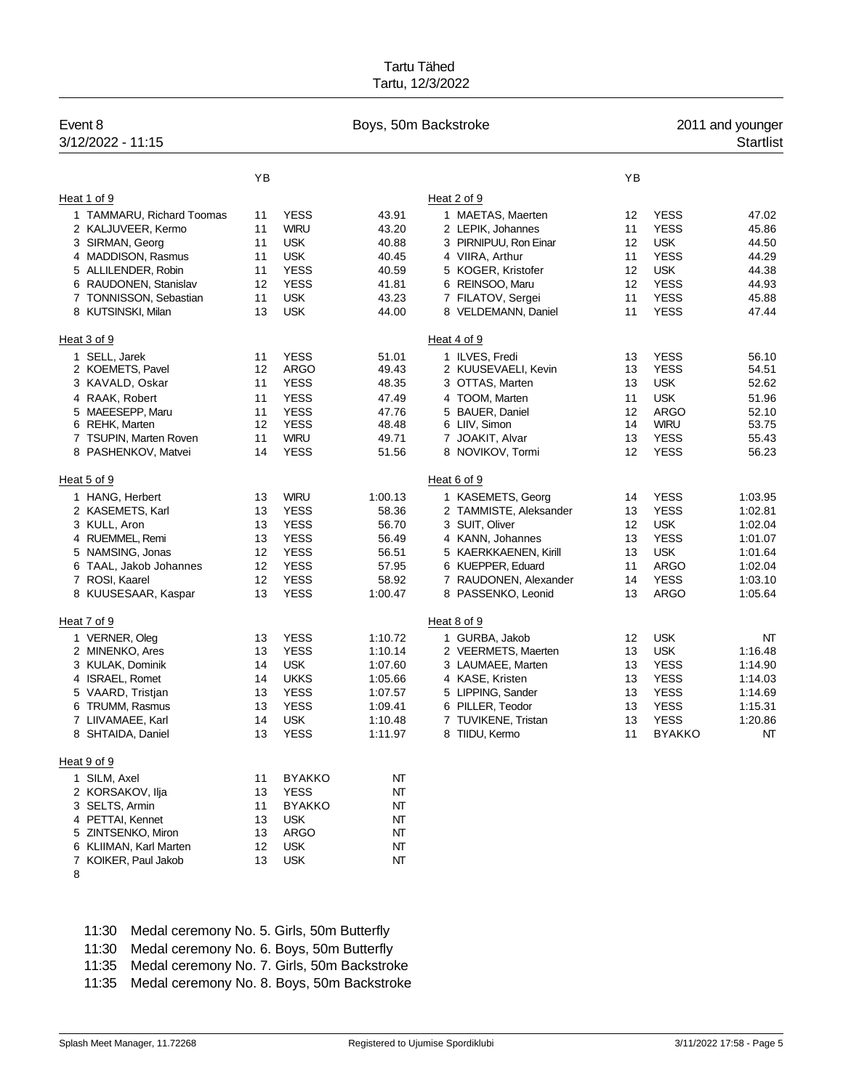| Event 8<br>3/12/2022 - 11:15 |    |               | Boys, 50m Backstroke |                        |    |               | 2011 and younger<br><b>Startlist</b> |
|------------------------------|----|---------------|----------------------|------------------------|----|---------------|--------------------------------------|
|                              | YB |               |                      |                        | YB |               |                                      |
| Heat 1 of 9                  |    |               |                      | Heat 2 of 9            |    |               |                                      |
| 1 TAMMARU, Richard Toomas    | 11 | <b>YESS</b>   | 43.91                | 1 MAETAS, Maerten      | 12 | <b>YESS</b>   | 47.02                                |
| 2 KALJUVEER, Kermo           | 11 | <b>WIRU</b>   | 43.20                | 2 LEPIK, Johannes      | 11 | <b>YESS</b>   | 45.86                                |
| 3 SIRMAN, Georg              | 11 | <b>USK</b>    | 40.88                | 3 PIRNIPUU, Ron Einar  | 12 | <b>USK</b>    | 44.50                                |
| 4 MADDISON, Rasmus           | 11 | <b>USK</b>    | 40.45                | 4 VIIRA, Arthur        | 11 | <b>YESS</b>   | 44.29                                |
| 5 ALLILENDER, Robin          | 11 | <b>YESS</b>   | 40.59                | 5 KOGER, Kristofer     | 12 | <b>USK</b>    | 44.38                                |
| 6 RAUDONEN, Stanislav        | 12 | <b>YESS</b>   | 41.81                | 6 REINSOO, Maru        | 12 | <b>YESS</b>   | 44.93                                |
| 7 TONNISSON, Sebastian       | 11 | <b>USK</b>    | 43.23                | 7 FILATOV, Sergei      | 11 | <b>YESS</b>   | 45.88                                |
| 8 KUTSINSKI, Milan           | 13 | <b>USK</b>    | 44.00                | 8 VELDEMANN, Daniel    | 11 | <b>YESS</b>   | 47.44                                |
| Heat 3 of 9                  |    |               |                      | Heat 4 of 9            |    |               |                                      |
| 1 SELL, Jarek                | 11 | <b>YESS</b>   | 51.01                | 1 ILVES, Fredi         | 13 | <b>YESS</b>   | 56.10                                |
| 2 KOEMETS, Pavel             | 12 | <b>ARGO</b>   | 49.43                | 2 KUUSEVAELI, Kevin    | 13 | <b>YESS</b>   | 54.51                                |
| 3 KAVALD, Oskar              | 11 | <b>YESS</b>   | 48.35                | 3 OTTAS, Marten        | 13 | <b>USK</b>    | 52.62                                |
| 4 RAAK, Robert               | 11 | <b>YESS</b>   | 47.49                | 4 TOOM, Marten         | 11 | <b>USK</b>    | 51.96                                |
| 5 MAEESEPP, Maru             | 11 | <b>YESS</b>   | 47.76                | 5 BAUER, Daniel        | 12 | <b>ARGO</b>   | 52.10                                |
| 6 REHK, Marten               | 12 | <b>YESS</b>   | 48.48                | 6 LIIV, Simon          | 14 | <b>WIRU</b>   | 53.75                                |
| 7 TSUPIN, Marten Roven       | 11 | <b>WIRU</b>   | 49.71                | 7 JOAKIT, Alvar        | 13 | <b>YESS</b>   | 55.43                                |
| 8 PASHENKOV, Matvei          | 14 | <b>YESS</b>   | 51.56                | 8 NOVIKOV, Tormi       | 12 | <b>YESS</b>   | 56.23                                |
| Heat 5 of 9                  |    |               |                      | Heat 6 of 9            |    |               |                                      |
| 1 HANG, Herbert              | 13 | <b>WIRU</b>   | 1:00.13              | 1 KASEMETS, Georg      | 14 | <b>YESS</b>   | 1:03.95                              |
| 2 KASEMETS, Karl             | 13 | <b>YESS</b>   | 58.36                | 2 TAMMISTE, Aleksander | 13 | <b>YESS</b>   | 1:02.81                              |
| 3 KULL, Aron                 | 13 | <b>YESS</b>   | 56.70                | 3 SUIT, Oliver         | 12 | <b>USK</b>    | 1:02.04                              |
| 4 RUEMMEL, Remi              | 13 | <b>YESS</b>   | 56.49                | 4 KANN, Johannes       | 13 | <b>YESS</b>   | 1:01.07                              |
| 5 NAMSING, Jonas             | 12 | <b>YESS</b>   | 56.51                | 5 KAERKKAENEN, Kirill  | 13 | <b>USK</b>    | 1:01.64                              |
| 6 TAAL, Jakob Johannes       | 12 | <b>YESS</b>   | 57.95                | 6 KUEPPER, Eduard      | 11 | <b>ARGO</b>   | 1:02.04                              |
| 7 ROSI, Kaarel               | 12 | <b>YESS</b>   | 58.92                | 7 RAUDONEN, Alexander  | 14 | <b>YESS</b>   | 1:03.10                              |
| 8 KUUSESAAR, Kaspar          | 13 | <b>YESS</b>   | 1:00.47              | 8 PASSENKO, Leonid     | 13 | <b>ARGO</b>   | 1:05.64                              |
| Heat 7 of 9                  |    |               |                      | Heat 8 of 9            |    |               |                                      |
| 1 VERNER, Oleg               | 13 | <b>YESS</b>   | 1:10.72              | 1 GURBA, Jakob         | 12 | <b>USK</b>    | NT                                   |
| 2 MINENKO, Ares              | 13 | <b>YESS</b>   | 1:10.14              | 2 VEERMETS, Maerten    | 13 | <b>USK</b>    | 1:16.48                              |
| 3 KULAK, Dominik             | 14 | <b>USK</b>    | 1:07.60              | 3 LAUMAEE, Marten      | 13 | <b>YESS</b>   | 1:14.90                              |
| 4 ISRAEL, Romet              | 14 | <b>UKKS</b>   | 1:05.66              | 4 KASE, Kristen        | 13 | <b>YESS</b>   | 1:14.03                              |
| 5 VAARD, Tristjan            | 13 | <b>YESS</b>   | 1:07.57              | 5 LIPPING, Sander      | 13 | <b>YESS</b>   | 1:14.69                              |
| 6 TRUMM, Rasmus              | 13 | <b>YESS</b>   | 1:09.41              | 6 PILLER, Teodor       | 13 | <b>YESS</b>   | 1:15.31                              |
| 7 LIIVAMAEE, Karl            | 14 | <b>USK</b>    | 1:10.48              | 7 TUVIKENE, Tristan    | 13 | <b>YESS</b>   | 1:20.86                              |
| 8 SHTAIDA, Daniel            | 13 | <b>YESS</b>   | 1:11.97              | 8 TIIDU, Kermo         | 11 | <b>BYAKKO</b> | NT                                   |
| Heat 9 of 9                  |    |               |                      |                        |    |               |                                      |
| 1 SILM, Axel                 | 11 | <b>BYAKKO</b> | NΤ                   |                        |    |               |                                      |
| 2 KORSAKOV, Ilja             | 13 | <b>YESS</b>   | NT                   |                        |    |               |                                      |
| 3 SELTS, Armin               | 11 | <b>BYAKKO</b> | NΤ                   |                        |    |               |                                      |
| 4 PETTAI, Kennet             | 13 | <b>USK</b>    | NΤ                   |                        |    |               |                                      |
| 5 ZINTSENKO, Miron           | 13 | ARGO          | NΤ                   |                        |    |               |                                      |
| 6 KLIIMAN, Karl Marten       | 12 | <b>USK</b>    | NΤ                   |                        |    |               |                                      |
| 7 KOIKER, Paul Jakob         | 13 | <b>USK</b>    | NT                   |                        |    |               |                                      |
| 8                            |    |               |                      |                        |    |               |                                      |

11:30 Medal ceremony No. 5. Girls, 50m Butterfly

11:30 Medal ceremony No. 6. Boys, 50m Butterfly

11:35 Medal ceremony No. 7. Girls, 50m Backstroke

11:35 Medal ceremony No. 8. Boys, 50m Backstroke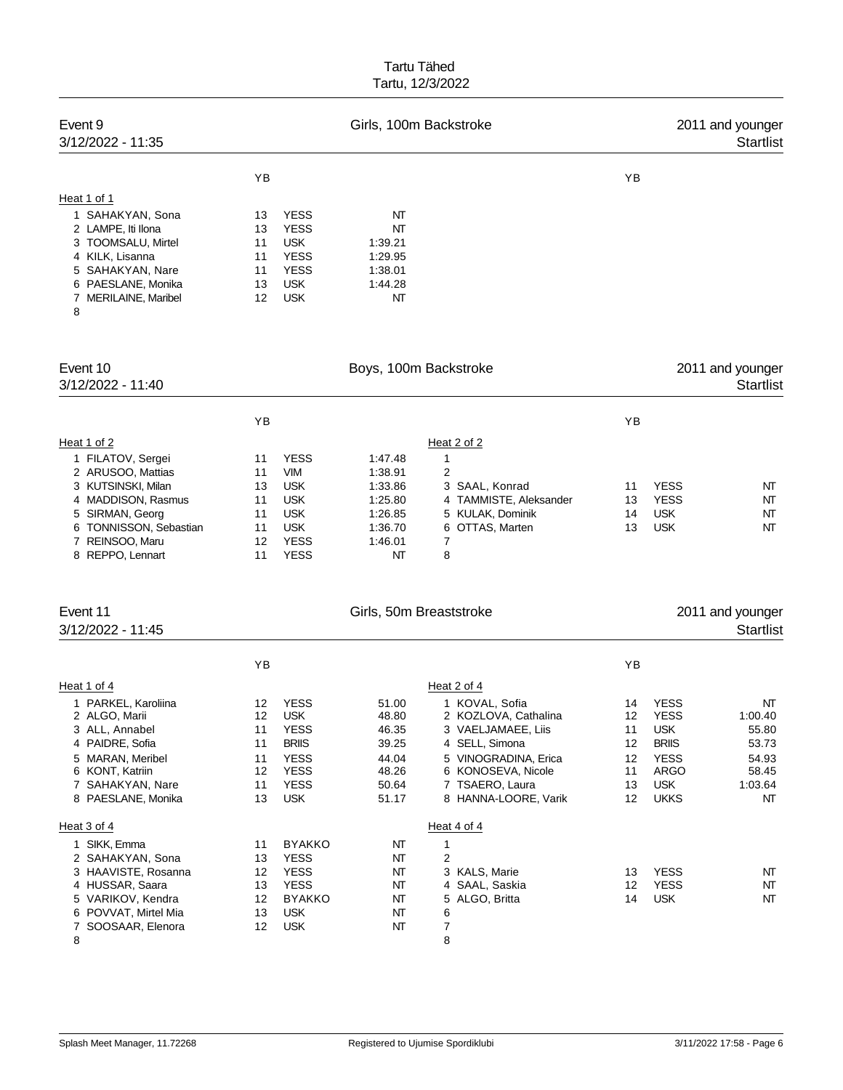| Event 9<br>3/12/2022 - 11:35                                                                                                                           |                                        |                                                                                                    | Girls, 100m Backstroke                                     |                                            |          |                            | 2011 and younger<br><b>Startlist</b> |
|--------------------------------------------------------------------------------------------------------------------------------------------------------|----------------------------------------|----------------------------------------------------------------------------------------------------|------------------------------------------------------------|--------------------------------------------|----------|----------------------------|--------------------------------------|
|                                                                                                                                                        | YB                                     |                                                                                                    |                                                            |                                            | YB       |                            |                                      |
| Heat 1 of 1                                                                                                                                            |                                        |                                                                                                    |                                                            |                                            |          |                            |                                      |
| 1 SAHAKYAN, Sona<br>2 LAMPE, Iti Ilona<br>3 TOOMSALU, Mirtel<br>4 KILK, Lisanna<br>5 SAHAKYAN, Nare<br>6 PAESLANE, Monika<br>7 MERILAINE, Maribel<br>8 | 13<br>13<br>11<br>11<br>11<br>13<br>12 | <b>YESS</b><br><b>YESS</b><br><b>USK</b><br><b>YESS</b><br><b>YESS</b><br><b>USK</b><br><b>USK</b> | NT<br>NT<br>1:39.21<br>1:29.95<br>1:38.01<br>1:44.28<br>NT |                                            |          |                            |                                      |
| Event 10<br>3/12/2022 - 11:40                                                                                                                          |                                        |                                                                                                    | Boys, 100m Backstroke                                      |                                            |          |                            | 2011 and younger<br><b>Startlist</b> |
|                                                                                                                                                        | YB                                     |                                                                                                    |                                                            |                                            | ΥB       |                            |                                      |
| Heat 1 of 2                                                                                                                                            |                                        |                                                                                                    |                                                            | Heat 2 of 2                                |          |                            |                                      |
| 1 FILATOV, Sergei                                                                                                                                      | 11                                     | <b>YESS</b>                                                                                        | 1:47.48                                                    | 1                                          |          |                            |                                      |
| 2 ARUSOO, Mattias                                                                                                                                      | 11                                     | <b>VIM</b>                                                                                         | 1:38.91                                                    | 2                                          |          |                            |                                      |
| 3 KUTSINSKI, Milan                                                                                                                                     | 13                                     | <b>USK</b>                                                                                         | 1:33.86                                                    | 3 SAAL, Konrad                             | 11       | <b>YESS</b>                | NT                                   |
| 4 MADDISON, Rasmus<br>5 SIRMAN, Georg                                                                                                                  | 11<br>11                               | <b>USK</b><br><b>USK</b>                                                                           | 1:25.80<br>1:26.85                                         | 4 TAMMISTE, Aleksander<br>5 KULAK, Dominik | 13<br>14 | <b>YESS</b><br><b>USK</b>  | NT<br>NΤ                             |
| 6 TONNISSON, Sebastian                                                                                                                                 | 11                                     | <b>USK</b>                                                                                         | 1:36.70                                                    | 6 OTTAS, Marten                            | 13       | <b>USK</b>                 | NT                                   |
| 7 REINSOO, Maru<br>8 REPPO, Lennart                                                                                                                    | 12<br>11                               | <b>YESS</b><br><b>YESS</b>                                                                         | 1:46.01<br>NT                                              | 7<br>8                                     |          |                            |                                      |
| Event 11                                                                                                                                               |                                        |                                                                                                    | Girls, 50m Breaststroke                                    |                                            |          |                            | 2011 and younger                     |
| 3/12/2022 - 11:45                                                                                                                                      |                                        |                                                                                                    |                                                            |                                            |          |                            | <b>Startlist</b>                     |
|                                                                                                                                                        | YB                                     |                                                                                                    |                                                            |                                            | ΥB       |                            |                                      |
| Heat 1 of 4                                                                                                                                            |                                        |                                                                                                    |                                                            | Heat 2 of 4                                |          |                            |                                      |
| 1 PARKEL, Karoliina                                                                                                                                    | 12                                     | <b>YESS</b>                                                                                        | 51.00                                                      | 1 KOVAL, Sofia                             | 14       | <b>YESS</b>                | NΤ                                   |
| 2 ALGO, Marii                                                                                                                                          | 12                                     | <b>USK</b>                                                                                         | 48.80                                                      | 2 KOZLOVA, Cathalina                       | 12       | <b>YESS</b>                | 1:00.40                              |
| 3 ALL, Annabel<br>4 PAIDRE, Sofia                                                                                                                      | 11<br>11                               | <b>YESS</b><br><b>BRIIS</b>                                                                        | 46.35<br>39.25                                             | 3 VAELJAMAEE, Liis<br>4 SELL, Simona       | 11<br>12 | <b>USK</b><br><b>BRIIS</b> | 55.80<br>53.73                       |
| 5 MARAN, Meribel                                                                                                                                       | 11                                     | <b>YESS</b>                                                                                        | 44.04                                                      | 5 VINOGRADINA, Erica                       | 12       | <b>YESS</b>                | 54.93                                |
| 6 KONT, Katriin                                                                                                                                        | 12                                     | <b>YESS</b>                                                                                        | 48.26                                                      | 6 KONOSEVA, Nicole                         | 11       | <b>ARGO</b>                | 58.45                                |
| 7 SAHAKYAN, Nare<br>8 PAESLANE, Monika                                                                                                                 | 11<br>13                               | <b>YESS</b><br><b>USK</b>                                                                          | 50.64<br>51.17                                             | 7 TSAERO, Laura<br>8 HANNA-LOORE, Varik    | 13<br>12 | <b>USK</b><br><b>UKKS</b>  | 1:03.64<br>NΤ                        |
| Heat 3 of 4                                                                                                                                            |                                        |                                                                                                    |                                                            | Heat 4 of 4                                |          |                            |                                      |
| 1 SIKK, Emma                                                                                                                                           | 11                                     | <b>BYAKKO</b>                                                                                      | NΤ                                                         | 1                                          |          |                            |                                      |
| 2 SAHAKYAN, Sona                                                                                                                                       | 13                                     | <b>YESS</b>                                                                                        | NΤ                                                         | 2                                          |          |                            |                                      |
| 3 HAAVISTE, Rosanna                                                                                                                                    | 12                                     | <b>YESS</b>                                                                                        | NΤ                                                         | 3 KALS, Marie                              | 13       | <b>YESS</b>                | NΤ                                   |
| 4 HUSSAR, Saara<br>5 VARIKOV, Kendra                                                                                                                   | 13<br>12                               | <b>YESS</b><br><b>BYAKKO</b>                                                                       | NΤ<br>NΤ                                                   | 4 SAAL, Saskia<br>5 ALGO, Britta           | 12<br>14 | <b>YESS</b><br><b>USK</b>  | NΤ<br>NΤ                             |
| 6 POVVAT, Mirtel Mia                                                                                                                                   | 13                                     | <b>USK</b>                                                                                         | NΤ                                                         | 6                                          |          |                            |                                      |
| 7 SOOSAAR, Elenora                                                                                                                                     | 12                                     | <b>USK</b>                                                                                         | NΤ                                                         | 7                                          |          |                            |                                      |
| 8                                                                                                                                                      |                                        |                                                                                                    |                                                            | 8                                          |          |                            |                                      |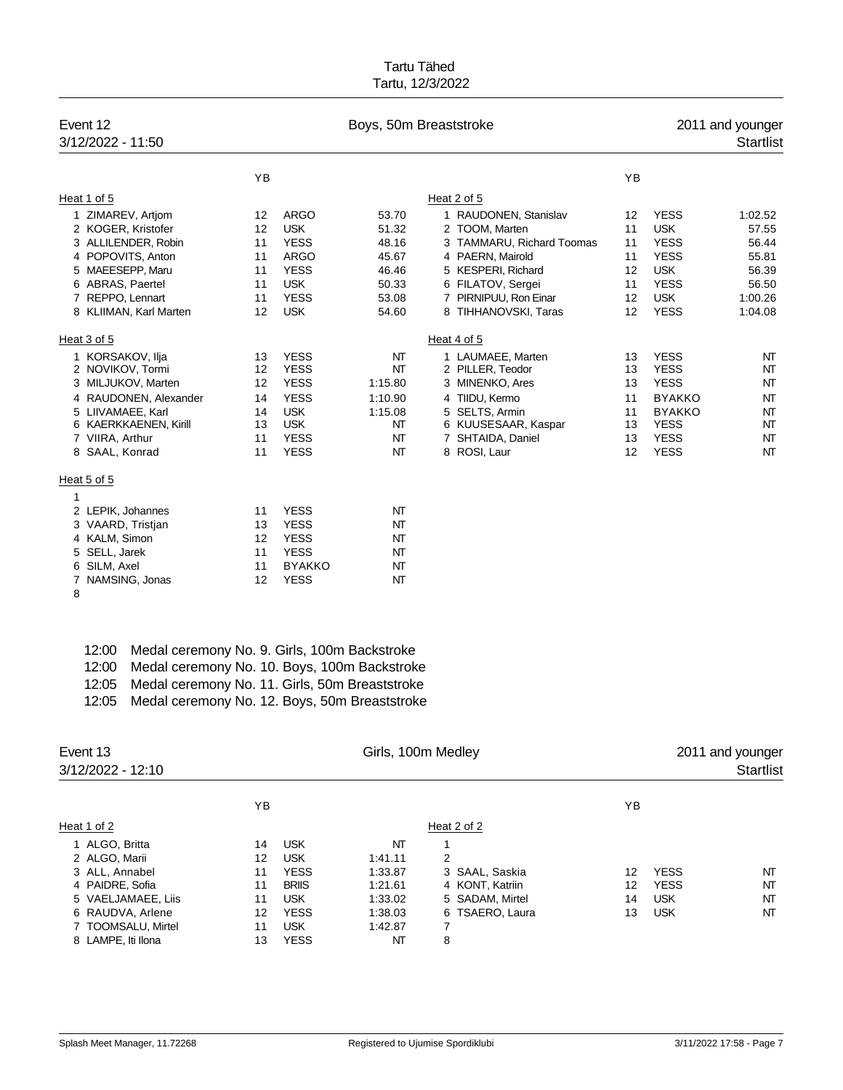| Event 12<br>3/12/2022 - 11:50 |                   |               | 2011 and younger<br><b>Startlist</b> |                           |    |               |         |
|-------------------------------|-------------------|---------------|--------------------------------------|---------------------------|----|---------------|---------|
|                               | YB                |               |                                      |                           | YB |               |         |
| Heat 1 of 5                   |                   |               |                                      | Heat 2 of 5               |    |               |         |
| 1 ZIMAREV, Artjom             | 12                | <b>ARGO</b>   | 53.70                                | 1 RAUDONEN, Stanislav     | 12 | <b>YESS</b>   | 1:02.52 |
| 2 KOGER, Kristofer            | $12 \overline{ }$ | <b>USK</b>    | 51.32                                | 2 TOOM, Marten            | 11 | <b>USK</b>    | 57.55   |
| 3 ALLILENDER, Robin           | 11                | <b>YESS</b>   | 48.16                                | 3 TAMMARU, Richard Toomas | 11 | <b>YESS</b>   | 56.44   |
| 4 POPOVITS, Anton             | 11                | <b>ARGO</b>   | 45.67                                | 4 PAERN, Mairold          | 11 | <b>YESS</b>   | 55.81   |
| 5 MAEESEPP, Maru              | 11                | <b>YESS</b>   | 46.46                                | 5 KESPERI, Richard        | 12 | <b>USK</b>    | 56.39   |
| 6 ABRAS, Paertel              | 11                | <b>USK</b>    | 50.33                                | 6 FILATOV, Sergei         | 11 | <b>YESS</b>   | 56.50   |
| 7 REPPO, Lennart              | 11                | <b>YESS</b>   | 53.08                                | 7 PIRNIPUU, Ron Einar     | 12 | <b>USK</b>    | 1:00.26 |
| 8 KLIIMAN, Karl Marten        | $12 \overline{ }$ | <b>USK</b>    | 54.60                                | 8 TIHHANOVSKI, Taras      | 12 | <b>YESS</b>   | 1:04.08 |
| Heat 3 of 5                   |                   |               |                                      | Heat 4 of 5               |    |               |         |
| 1 KORSAKOV, Ilja              | 13                | <b>YESS</b>   | NΤ                                   | 1 LAUMAEE, Marten         | 13 | <b>YESS</b>   | NT      |
| 2 NOVIKOV, Tormi              | 12                | <b>YESS</b>   | NT                                   | 2 PILLER, Teodor          | 13 | <b>YESS</b>   | NT      |
| 3 MILJUKOV, Marten            | 12                | <b>YESS</b>   | 1:15.80                              | 3 MINENKO, Ares           | 13 | <b>YESS</b>   | NT      |
| RAUDONEN, Alexander           | 14                | <b>YESS</b>   | 1:10.90                              | 4 TIIDU, Kermo            | 11 | <b>BYAKKO</b> | NT      |
| 5 LIIVAMAEE, Karl             | 14                | <b>USK</b>    | 1:15.08                              | 5 SELTS, Armin            | 11 | <b>BYAKKO</b> | NT      |
| 6 KAERKKAENEN, Kirill         | 13                | <b>USK</b>    | NT                                   | 6 KUUSESAAR, Kaspar       | 13 | <b>YESS</b>   | NT      |
| 7 VIIRA, Arthur               | 11                | <b>YESS</b>   | NT                                   | 7 SHTAIDA, Daniel         | 13 | <b>YESS</b>   | NT      |
| 8 SAAL, Konrad                | 11                | <b>YESS</b>   | NT                                   | 8 ROSI, Laur              | 12 | <b>YESS</b>   | NT      |
| Heat 5 of 5                   |                   |               |                                      |                           |    |               |         |
| 1                             |                   |               |                                      |                           |    |               |         |
| 2 LEPIK, Johannes             | 11                | <b>YESS</b>   | NT                                   |                           |    |               |         |
| 3 VAARD, Tristjan             | 13                | <b>YESS</b>   | NT                                   |                           |    |               |         |
| 4 KALM, Simon                 | 12                | <b>YESS</b>   | NT                                   |                           |    |               |         |
| 5 SELL, Jarek                 | 11                | <b>YESS</b>   | NΤ                                   |                           |    |               |         |
| 6 SILM, Axel                  | 11                | <b>BYAKKO</b> | NT                                   |                           |    |               |         |
| 7 NAMSING, Jonas              | $12 \overline{ }$ | <b>YESS</b>   | NT                                   |                           |    |               |         |
|                               |                   |               |                                      |                           |    |               |         |

| ٧      |   |  |
|--------|---|--|
|        |   |  |
| I<br>I | ٠ |  |

| 12:00 Medal ceremony No. 9. Girls, 100m Backstroke |
|----------------------------------------------------|
| 12:00 Medal ceremony No. 10. Boys, 100m Backstroke |

12:05 Medal ceremony No. 11. Girls, 50m Breaststroke

12:05 Medal ceremony No. 12. Boys, 50m Breaststroke

| Event 13<br>3/12/2022 - 12:10 |    |              | Girls, 100m Medley | 2011 and younger<br><b>Startlist</b> |    |             |    |
|-------------------------------|----|--------------|--------------------|--------------------------------------|----|-------------|----|
|                               | YB |              |                    |                                      | YB |             |    |
| Heat 1 of 2                   |    |              |                    | Heat 2 of 2                          |    |             |    |
| 1 ALGO, Britta                | 14 | <b>USK</b>   | NΤ                 |                                      |    |             |    |
| 2 ALGO, Marii                 | 12 | <b>USK</b>   | 1:41.11            | 2                                    |    |             |    |
| 3 ALL, Annabel                | 11 | <b>YESS</b>  | 1:33.87            | 3 SAAL, Saskia                       | 12 | <b>YESS</b> | NT |
| 4 PAIDRE, Sofia               | 11 | <b>BRIIS</b> | 1:21.61            | 4 KONT, Katriin                      | 12 | <b>YESS</b> | NT |
| 5 VAELJAMAEE, Liis            | 11 | <b>USK</b>   | 1:33.02            | 5 SADAM, Mirtel                      | 14 | <b>USK</b>  | NT |
| 6 RAUDVA, Arlene              | 12 | <b>YESS</b>  | 1:38.03            | 6 TSAERO, Laura                      | 13 | <b>USK</b>  | NT |
| 7 TOOMSALU, Mirtel            | 11 | <b>USK</b>   | 1:42.87            | 7                                    |    |             |    |
| 8 LAMPE. Iti Ilona            | 13 | <b>YESS</b>  | NΤ                 | 8                                    |    |             |    |